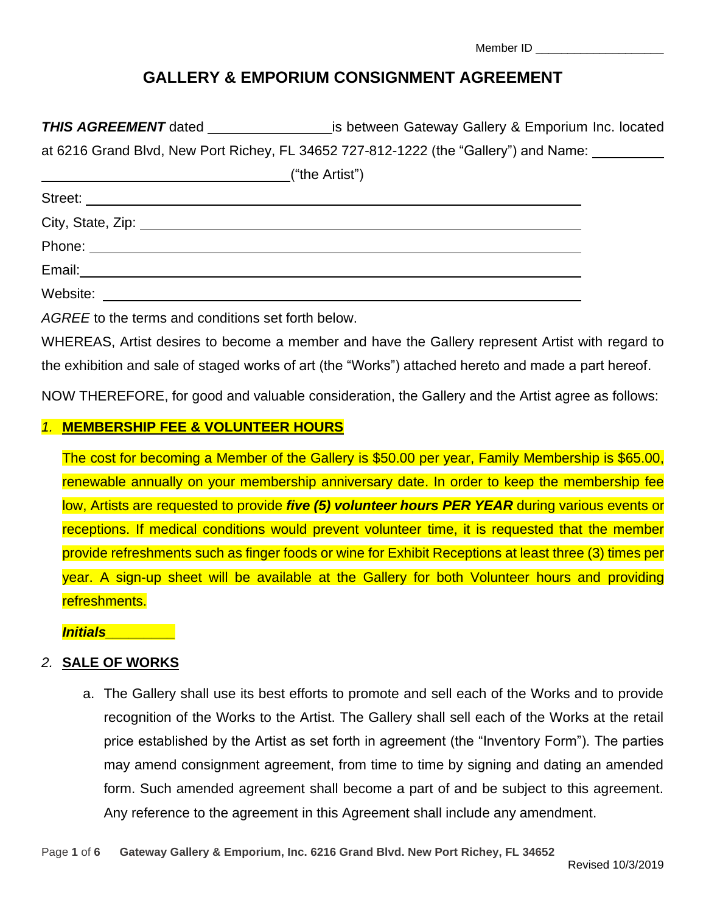| Member ID |  |
|-----------|--|
|-----------|--|

# **GALLERY & EMPORIUM CONSIGNMENT AGREEMENT**

**THIS AGREEMENT** dated is between Gateway Gallery & Emporium Inc. located

at 6216 Grand Blvd, New Port Richey, FL 34652 727-812-1222 (the "Gallery") and Name:

| ("the Artist")                                               |  |  |  |
|--------------------------------------------------------------|--|--|--|
|                                                              |  |  |  |
|                                                              |  |  |  |
|                                                              |  |  |  |
| Email:<br><u> 1980 - Jan Sammer, Amerikaansk politiker (</u> |  |  |  |
| Website:                                                     |  |  |  |

*AGREE* to the terms and conditions set forth below.

WHEREAS, Artist desires to become a member and have the Gallery represent Artist with regard to the exhibition and sale of staged works of art (the "Works") attached hereto and made a part hereof.

NOW THEREFORE, for good and valuable consideration, the Gallery and the Artist agree as follows:

## *1.* **MEMBERSHIP FEE & VOLUNTEER HOURS**

The cost for becoming a Member of the Gallery is \$50.00 per year, Family Membership is \$65.00, renewable annually on your membership anniversary date. In order to keep the membership fee low, Artists are requested to provide *five (5) volunteer hours PER YEAR* during various events or receptions. If medical conditions would prevent volunteer time, it is requested that the member provide refreshments such as finger foods or wine for Exhibit Receptions at least three (3) times per year. A sign-up sheet will be available at the Gallery for both Volunteer hours and providing refreshments.

*Initials\_\_\_\_\_\_\_\_\_*

## *2.* **SALE OF WORKS**

a. The Gallery shall use its best efforts to promote and sell each of the Works and to provide recognition of the Works to the Artist. The Gallery shall sell each of the Works at the retail price established by the Artist as set forth in agreement (the "Inventory Form"). The parties may amend consignment agreement, from time to time by signing and dating an amended form. Such amended agreement shall become a part of and be subject to this agreement. Any reference to the agreement in this Agreement shall include any amendment.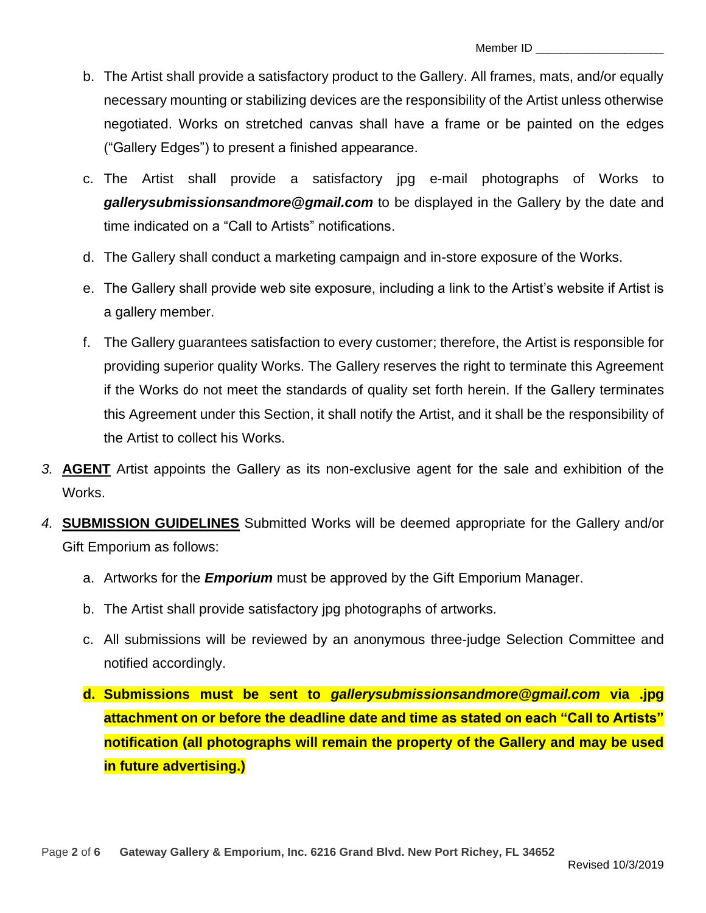- b. The Artist shall provide a satisfactory product to the Gallery. All frames, mats, and/or equally necessary mounting or stabilizing devices are the responsibility of the Artist unless otherwise negotiated. Works on stretched canvas shall have a frame or be painted on the edges ("Gallery Edges") to present a finished appearance.
- c. The Artist shall provide a satisfactory jpg e-mail photographs of Works to *gallerysubmissionsandmore@gmail.com* to be displayed in the Gallery by the date and time indicated on a "Call to Artists" notifications.
- d. The Gallery shall conduct a marketing campaign and in-store exposure of the Works.
- e. The Gallery shall provide web site exposure, including a link to the Artist's website if Artist is a gallery member.
- f. The Gallery guarantees satisfaction to every customer; therefore, the Artist is responsible for providing superior quality Works. The Gallery reserves the right to terminate this Agreement if the Works do not meet the standards of quality set forth herein. If the Gallery terminates this Agreement under this Section, it shall notify the Artist, and it shall be the responsibility of the Artist to collect his Works.
- *3.* **AGENT** Artist appoints the Gallery as its non-exclusive agent for the sale and exhibition of the Works.
- *4.* **SUBMISSION GUIDELINES** Submitted Works will be deemed appropriate for the Gallery and/or Gift Emporium as follows:
	- a. Artworks for the *Emporium* must be approved by the Gift Emporium Manager.
	- b. The Artist shall provide satisfactory jpg photographs of artworks.
	- c. All submissions will be reviewed by an anonymous three-judge Selection Committee and notified accordingly.
	- **d. Submissions must be sent to** *gallerysubmissionsandmore@gmail.com* **via .jpg attachment on or before the deadline date and time as stated on each "Call to Artists" notification (all photographs will remain the property of the Gallery and may be used in future advertising.)**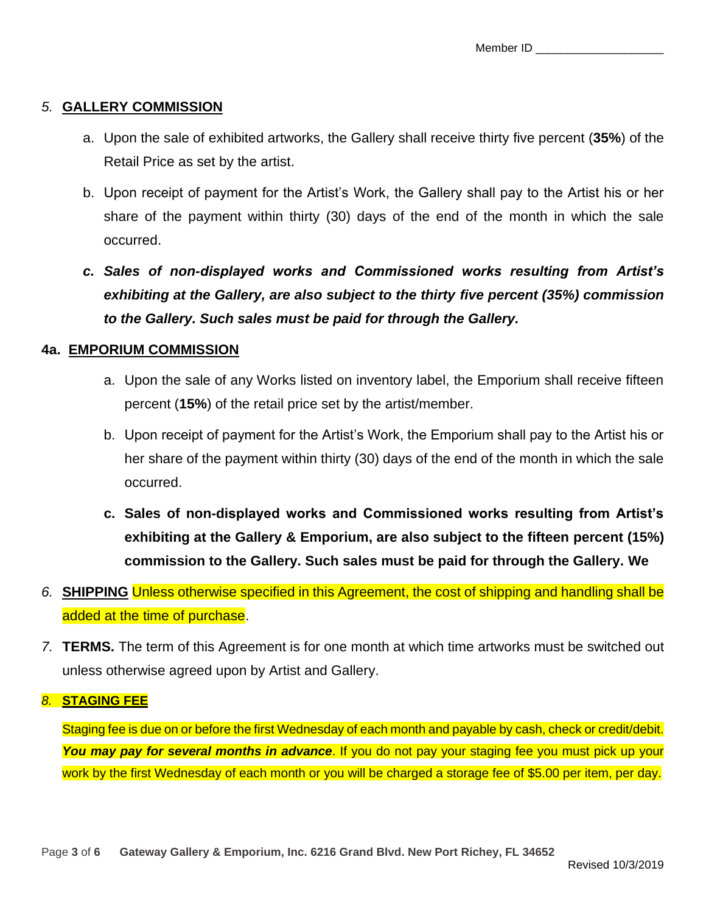## *5.* **GALLERY COMMISSION**

- a. Upon the sale of exhibited artworks, the Gallery shall receive thirty five percent (**35%**) of the Retail Price as set by the artist.
- b. Upon receipt of payment for the Artist's Work, the Gallery shall pay to the Artist his or her share of the payment within thirty (30) days of the end of the month in which the sale occurred.
- *c. Sales of non-displayed works and Commissioned works resulting from Artist's exhibiting at the Gallery, are also subject to the thirty five percent (35%) commission to the Gallery. Such sales must be paid for through the Gallery.*

## **4a. EMPORIUM COMMISSION**

- a. Upon the sale of any Works listed on inventory label, the Emporium shall receive fifteen percent (**15%**) of the retail price set by the artist/member.
- b. Upon receipt of payment for the Artist's Work, the Emporium shall pay to the Artist his or her share of the payment within thirty (30) days of the end of the month in which the sale occurred.
- **c. Sales of non-displayed works and Commissioned works resulting from Artist's exhibiting at the Gallery & Emporium, are also subject to the fifteen percent (15%) commission to the Gallery. Such sales must be paid for through the Gallery. We**
- *6.* **SHIPPING** Unless otherwise specified in this Agreement, the cost of shipping and handling shall be added at the time of purchase.
- *7.* **TERMS.** The term of this Agreement is for one month at which time artworks must be switched out unless otherwise agreed upon by Artist and Gallery.

## *8.* **STAGING FEE**

Staging fee is due on or before the first Wednesday of each month and payable by cash, check or credit/debit. *You may pay for several months in advance*. If you do not pay your staging fee you must pick up your work by the first Wednesday of each month or you will be charged a storage fee of \$5.00 per item, per day.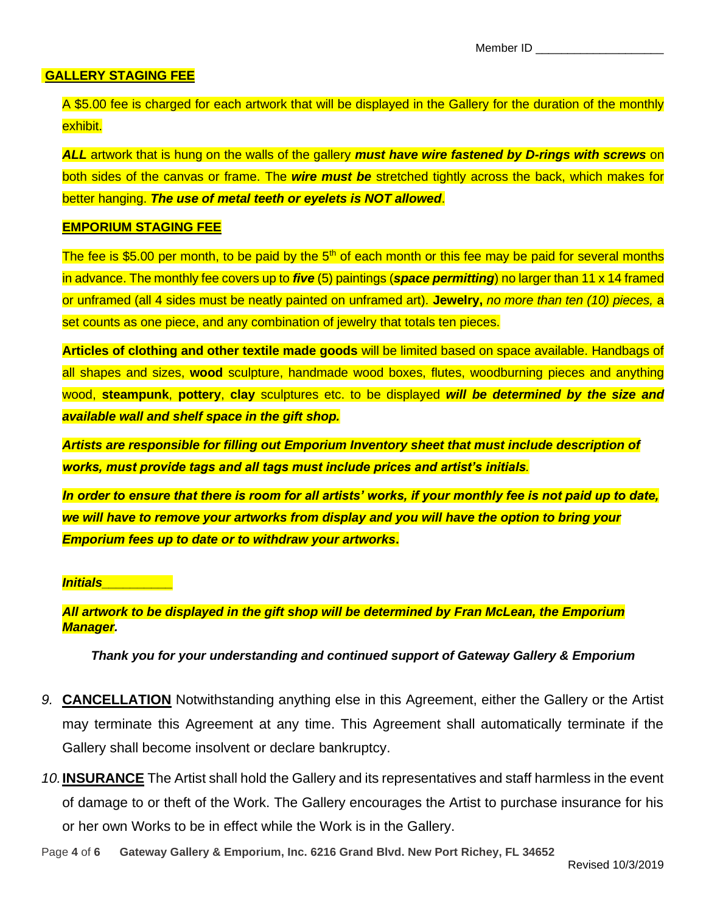#### **GALLERY STAGING FEE**

A \$5.00 fee is charged for each artwork that will be displayed in the Gallery for the duration of the monthly exhibit.

*ALL* artwork that is hung on the walls of the gallery *must have wire fastened by D-rings with screws* on both sides of the canvas or frame. The *wire must be* stretched tightly across the back, which makes for better hanging. *The use of metal teeth or eyelets is NOT allowed*.

#### **EMPORIUM STAGING FEE**

The fee is \$5.00 per month, to be paid by the  $5<sup>th</sup>$  of each month or this fee may be paid for several months in advance. The monthly fee covers up to *five* (5) paintings (*space permitting*) no larger than 11 x 14 framed or unframed (all 4 sides must be neatly painted on unframed art). **Jewelry,** *no more than ten (10) pieces,* a set counts as one piece, and any combination of jewelry that totals ten pieces.

**Articles of clothing and other textile made goods** will be limited based on space available. Handbags of all shapes and sizes, **wood** sculpture, handmade wood boxes, flutes, woodburning pieces and anything wood, **steampunk**, **pottery**, **clay** sculptures etc. to be displayed *will be determined by the size and available wall and shelf space in the gift shop.*

*Artists are responsible for filling out Emporium Inventory sheet that must include description of works, must provide tags and all tags must include prices and artist's initials.* 

*In order to ensure that there is room for all artists' works, if your monthly fee is not paid up to date, we will have to remove your artworks from display and you will have the option to bring your Emporium fees up to date or to withdraw your artworks***.**

#### *Initials\_\_\_\_\_\_\_\_\_\_*

*All artwork to be displayed in the gift shop will be determined by Fran McLean, the Emporium Manager.*

#### *Thank you for your understanding and continued support of Gateway Gallery & Emporium*

- *9.* **CANCELLATION** Notwithstanding anything else in this Agreement, either the Gallery or the Artist may terminate this Agreement at any time. This Agreement shall automatically terminate if the Gallery shall become insolvent or declare bankruptcy.
- *10.***INSURANCE** The Artist shall hold the Gallery and its representatives and staff harmless in the event of damage to or theft of the Work. The Gallery encourages the Artist to purchase insurance for his or her own Works to be in effect while the Work is in the Gallery.
- Page **4** of **6 Gateway Gallery & Emporium, Inc. 6216 Grand Blvd. New Port Richey, FL 34652**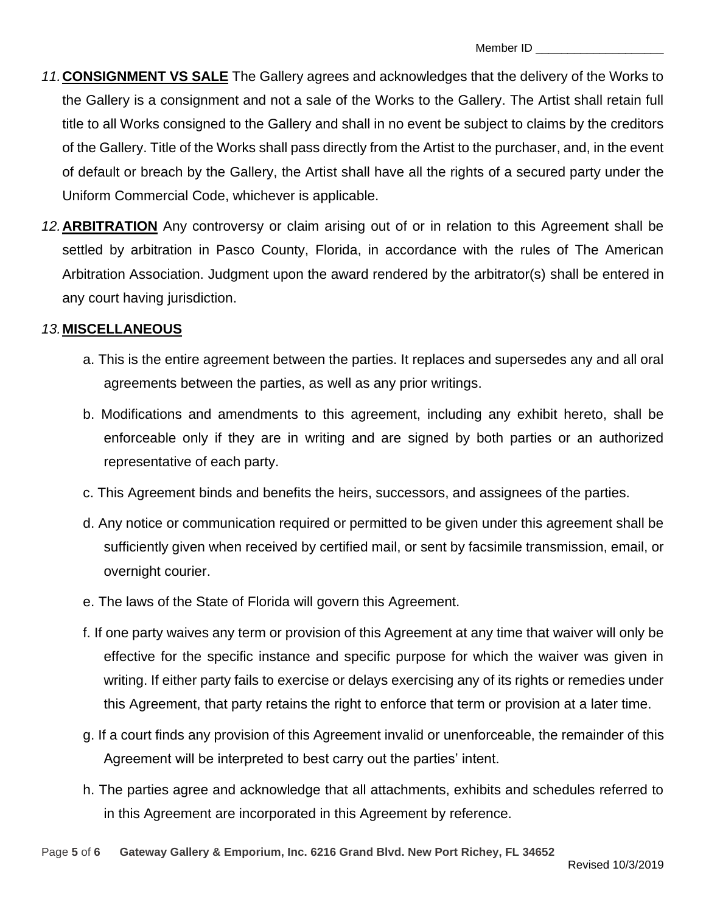- *11.***CONSIGNMENT VS SALE** The Gallery agrees and acknowledges that the delivery of the Works to the Gallery is a consignment and not a sale of the Works to the Gallery. The Artist shall retain full title to all Works consigned to the Gallery and shall in no event be subject to claims by the creditors of the Gallery. Title of the Works shall pass directly from the Artist to the purchaser, and, in the event of default or breach by the Gallery, the Artist shall have all the rights of a secured party under the Uniform Commercial Code, whichever is applicable.
- *12.***ARBITRATION** Any controversy or claim arising out of or in relation to this Agreement shall be settled by arbitration in Pasco County, Florida, in accordance with the rules of The American Arbitration Association. Judgment upon the award rendered by the arbitrator(s) shall be entered in any court having jurisdiction.

## *13.***MISCELLANEOUS**

- a. This is the entire agreement between the parties. It replaces and supersedes any and all oral agreements between the parties, as well as any prior writings.
- b. Modifications and amendments to this agreement, including any exhibit hereto, shall be enforceable only if they are in writing and are signed by both parties or an authorized representative of each party.
- c. This Agreement binds and benefits the heirs, successors, and assignees of the parties.
- d. Any notice or communication required or permitted to be given under this agreement shall be sufficiently given when received by certified mail, or sent by facsimile transmission, email, or overnight courier.
- e. The laws of the State of Florida will govern this Agreement.
- f. If one party waives any term or provision of this Agreement at any time that waiver will only be effective for the specific instance and specific purpose for which the waiver was given in writing. If either party fails to exercise or delays exercising any of its rights or remedies under this Agreement, that party retains the right to enforce that term or provision at a later time.
- g. If a court finds any provision of this Agreement invalid or unenforceable, the remainder of this Agreement will be interpreted to best carry out the parties' intent.
- h. The parties agree and acknowledge that all attachments, exhibits and schedules referred to in this Agreement are incorporated in this Agreement by reference.